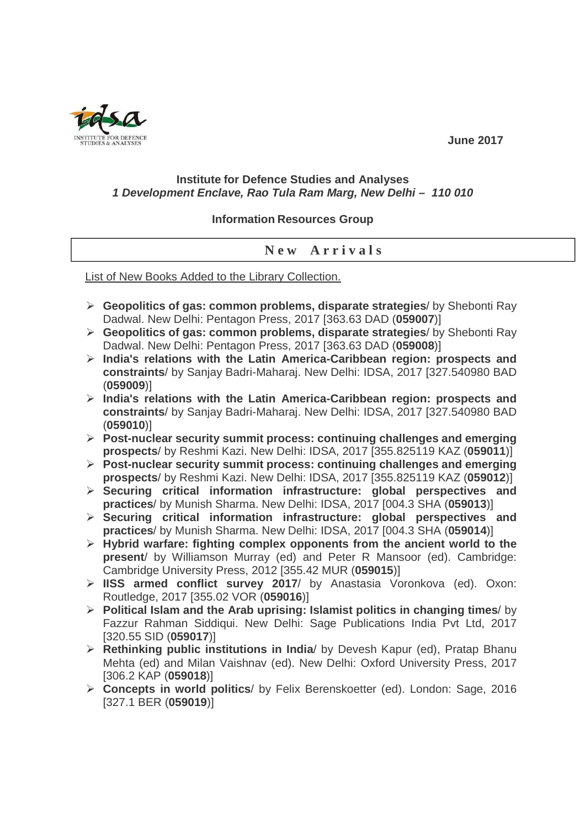**June 2017** 

## **Institute for Defence Studies and Analyses 1 Development Enclave, Rao Tula Ram Marg, New Delhi – 110 010**

## **Information Resources Group**

## **N e w A r r i v a l s**

List of New Books Added to the Library Collection.

- **Geopolitics of gas: common problems, disparate strategies**/ by Shebonti Ray Dadwal. New Delhi: Pentagon Press, 2017 [363.63 DAD (**059007**)]
- **Geopolitics of gas: common problems, disparate strategies**/ by Shebonti Ray Dadwal. New Delhi: Pentagon Press, 2017 [363.63 DAD (**059008**)]
- **India's relations with the Latin America-Caribbean region: prospects and constraints**/ by Sanjay Badri-Maharaj. New Delhi: IDSA, 2017 [327.540980 BAD (**059009**)]
- **India's relations with the Latin America-Caribbean region: prospects and constraints**/ by Sanjay Badri-Maharaj. New Delhi: IDSA, 2017 [327.540980 BAD (**059010**)]
- **Post-nuclear security summit process: continuing challenges and emerging prospects**/ by Reshmi Kazi. New Delhi: IDSA, 2017 [355.825119 KAZ (**059011**)]
- **Post-nuclear security summit process: continuing challenges and emerging prospects**/ by Reshmi Kazi. New Delhi: IDSA, 2017 [355.825119 KAZ (**059012**)]
- **Securing critical information infrastructure: global perspectives and practices**/ by Munish Sharma. New Delhi: IDSA, 2017 [004.3 SHA (**059013**)]
- **Securing critical information infrastructure: global perspectives and practices**/ by Munish Sharma. New Delhi: IDSA, 2017 [004.3 SHA (**059014**)]
- **Hybrid warfare: fighting complex opponents from the ancient world to the present**/ by Williamson Murray (ed) and Peter R Mansoor (ed). Cambridge: Cambridge University Press, 2012 [355.42 MUR (**059015**)]
- **IISS armed conflict survey 2017**/ by Anastasia Voronkova (ed). Oxon: Routledge, 2017 [355.02 VOR (**059016**)]
- **Political Islam and the Arab uprising: Islamist politics in changing times**/ by Fazzur Rahman Siddiqui. New Delhi: Sage Publications India Pvt Ltd, 2017 [320.55 SID (**059017**)]
- **Rethinking public institutions in India**/ by Devesh Kapur (ed), Pratap Bhanu Mehta (ed) and Milan Vaishnav (ed). New Delhi: Oxford University Press, 2017 [306.2 KAP (**059018**)]
- **Concepts in world politics**/ by Felix Berenskoetter (ed). London: Sage, 2016 [327.1 BER (**059019**)]